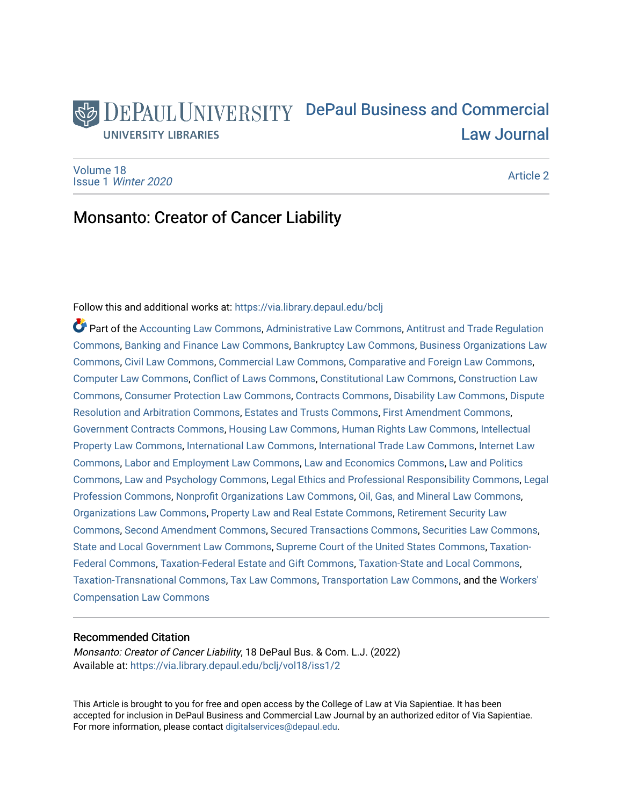# DEPAUL UNIVERSITY DePaul Business and Commercial **UNIVERSITY LIBRARIES** [Law Journal](https://via.library.depaul.edu/bclj)

[Volume 18](https://via.library.depaul.edu/bclj/vol18) Issue 1 [Winter 2020](https://via.library.depaul.edu/bclj/vol18/iss1) 

[Article 2](https://via.library.depaul.edu/bclj/vol18/iss1/2) 

# Monsanto: Creator of Cancer Liability

# Follow this and additional works at: [https://via.library.depaul.edu/bclj](https://via.library.depaul.edu/bclj?utm_source=via.library.depaul.edu%2Fbclj%2Fvol18%2Fiss1%2F2&utm_medium=PDF&utm_campaign=PDFCoverPages)

Part of the [Accounting Law Commons](http://network.bepress.com/hgg/discipline/828?utm_source=via.library.depaul.edu%2Fbclj%2Fvol18%2Fiss1%2F2&utm_medium=PDF&utm_campaign=PDFCoverPages), [Administrative Law Commons](http://network.bepress.com/hgg/discipline/579?utm_source=via.library.depaul.edu%2Fbclj%2Fvol18%2Fiss1%2F2&utm_medium=PDF&utm_campaign=PDFCoverPages), [Antitrust and Trade Regulation](http://network.bepress.com/hgg/discipline/911?utm_source=via.library.depaul.edu%2Fbclj%2Fvol18%2Fiss1%2F2&utm_medium=PDF&utm_campaign=PDFCoverPages) [Commons](http://network.bepress.com/hgg/discipline/911?utm_source=via.library.depaul.edu%2Fbclj%2Fvol18%2Fiss1%2F2&utm_medium=PDF&utm_campaign=PDFCoverPages), [Banking and Finance Law Commons](http://network.bepress.com/hgg/discipline/833?utm_source=via.library.depaul.edu%2Fbclj%2Fvol18%2Fiss1%2F2&utm_medium=PDF&utm_campaign=PDFCoverPages), [Bankruptcy Law Commons](http://network.bepress.com/hgg/discipline/583?utm_source=via.library.depaul.edu%2Fbclj%2Fvol18%2Fiss1%2F2&utm_medium=PDF&utm_campaign=PDFCoverPages), [Business Organizations Law](http://network.bepress.com/hgg/discipline/900?utm_source=via.library.depaul.edu%2Fbclj%2Fvol18%2Fiss1%2F2&utm_medium=PDF&utm_campaign=PDFCoverPages)  [Commons](http://network.bepress.com/hgg/discipline/900?utm_source=via.library.depaul.edu%2Fbclj%2Fvol18%2Fiss1%2F2&utm_medium=PDF&utm_campaign=PDFCoverPages), [Civil Law Commons,](http://network.bepress.com/hgg/discipline/835?utm_source=via.library.depaul.edu%2Fbclj%2Fvol18%2Fiss1%2F2&utm_medium=PDF&utm_campaign=PDFCoverPages) [Commercial Law Commons](http://network.bepress.com/hgg/discipline/586?utm_source=via.library.depaul.edu%2Fbclj%2Fvol18%2Fiss1%2F2&utm_medium=PDF&utm_campaign=PDFCoverPages), [Comparative and Foreign Law Commons](http://network.bepress.com/hgg/discipline/836?utm_source=via.library.depaul.edu%2Fbclj%2Fvol18%2Fiss1%2F2&utm_medium=PDF&utm_campaign=PDFCoverPages), [Computer Law Commons](http://network.bepress.com/hgg/discipline/837?utm_source=via.library.depaul.edu%2Fbclj%2Fvol18%2Fiss1%2F2&utm_medium=PDF&utm_campaign=PDFCoverPages), [Conflict of Laws Commons](http://network.bepress.com/hgg/discipline/588?utm_source=via.library.depaul.edu%2Fbclj%2Fvol18%2Fiss1%2F2&utm_medium=PDF&utm_campaign=PDFCoverPages), [Constitutional Law Commons](http://network.bepress.com/hgg/discipline/589?utm_source=via.library.depaul.edu%2Fbclj%2Fvol18%2Fiss1%2F2&utm_medium=PDF&utm_campaign=PDFCoverPages), [Construction Law](http://network.bepress.com/hgg/discipline/590?utm_source=via.library.depaul.edu%2Fbclj%2Fvol18%2Fiss1%2F2&utm_medium=PDF&utm_campaign=PDFCoverPages)  [Commons](http://network.bepress.com/hgg/discipline/590?utm_source=via.library.depaul.edu%2Fbclj%2Fvol18%2Fiss1%2F2&utm_medium=PDF&utm_campaign=PDFCoverPages), [Consumer Protection Law Commons](http://network.bepress.com/hgg/discipline/838?utm_source=via.library.depaul.edu%2Fbclj%2Fvol18%2Fiss1%2F2&utm_medium=PDF&utm_campaign=PDFCoverPages), [Contracts Commons,](http://network.bepress.com/hgg/discipline/591?utm_source=via.library.depaul.edu%2Fbclj%2Fvol18%2Fiss1%2F2&utm_medium=PDF&utm_campaign=PDFCoverPages) [Disability Law Commons,](http://network.bepress.com/hgg/discipline/1074?utm_source=via.library.depaul.edu%2Fbclj%2Fvol18%2Fiss1%2F2&utm_medium=PDF&utm_campaign=PDFCoverPages) [Dispute](http://network.bepress.com/hgg/discipline/890?utm_source=via.library.depaul.edu%2Fbclj%2Fvol18%2Fiss1%2F2&utm_medium=PDF&utm_campaign=PDFCoverPages) [Resolution and Arbitration Commons](http://network.bepress.com/hgg/discipline/890?utm_source=via.library.depaul.edu%2Fbclj%2Fvol18%2Fiss1%2F2&utm_medium=PDF&utm_campaign=PDFCoverPages), [Estates and Trusts Commons,](http://network.bepress.com/hgg/discipline/906?utm_source=via.library.depaul.edu%2Fbclj%2Fvol18%2Fiss1%2F2&utm_medium=PDF&utm_campaign=PDFCoverPages) [First Amendment Commons,](http://network.bepress.com/hgg/discipline/1115?utm_source=via.library.depaul.edu%2Fbclj%2Fvol18%2Fiss1%2F2&utm_medium=PDF&utm_campaign=PDFCoverPages) [Government Contracts Commons,](http://network.bepress.com/hgg/discipline/845?utm_source=via.library.depaul.edu%2Fbclj%2Fvol18%2Fiss1%2F2&utm_medium=PDF&utm_campaign=PDFCoverPages) [Housing Law Commons,](http://network.bepress.com/hgg/discipline/846?utm_source=via.library.depaul.edu%2Fbclj%2Fvol18%2Fiss1%2F2&utm_medium=PDF&utm_campaign=PDFCoverPages) [Human Rights Law Commons](http://network.bepress.com/hgg/discipline/847?utm_source=via.library.depaul.edu%2Fbclj%2Fvol18%2Fiss1%2F2&utm_medium=PDF&utm_campaign=PDFCoverPages), [Intellectual](http://network.bepress.com/hgg/discipline/896?utm_source=via.library.depaul.edu%2Fbclj%2Fvol18%2Fiss1%2F2&utm_medium=PDF&utm_campaign=PDFCoverPages)  [Property Law Commons](http://network.bepress.com/hgg/discipline/896?utm_source=via.library.depaul.edu%2Fbclj%2Fvol18%2Fiss1%2F2&utm_medium=PDF&utm_campaign=PDFCoverPages), [International Law Commons](http://network.bepress.com/hgg/discipline/609?utm_source=via.library.depaul.edu%2Fbclj%2Fvol18%2Fiss1%2F2&utm_medium=PDF&utm_campaign=PDFCoverPages), [International Trade Law Commons](http://network.bepress.com/hgg/discipline/848?utm_source=via.library.depaul.edu%2Fbclj%2Fvol18%2Fiss1%2F2&utm_medium=PDF&utm_campaign=PDFCoverPages), [Internet Law](http://network.bepress.com/hgg/discipline/892?utm_source=via.library.depaul.edu%2Fbclj%2Fvol18%2Fiss1%2F2&utm_medium=PDF&utm_campaign=PDFCoverPages)  [Commons](http://network.bepress.com/hgg/discipline/892?utm_source=via.library.depaul.edu%2Fbclj%2Fvol18%2Fiss1%2F2&utm_medium=PDF&utm_campaign=PDFCoverPages), [Labor and Employment Law Commons,](http://network.bepress.com/hgg/discipline/909?utm_source=via.library.depaul.edu%2Fbclj%2Fvol18%2Fiss1%2F2&utm_medium=PDF&utm_campaign=PDFCoverPages) [Law and Economics Commons,](http://network.bepress.com/hgg/discipline/612?utm_source=via.library.depaul.edu%2Fbclj%2Fvol18%2Fiss1%2F2&utm_medium=PDF&utm_campaign=PDFCoverPages) [Law and Politics](http://network.bepress.com/hgg/discipline/867?utm_source=via.library.depaul.edu%2Fbclj%2Fvol18%2Fiss1%2F2&utm_medium=PDF&utm_campaign=PDFCoverPages) [Commons](http://network.bepress.com/hgg/discipline/867?utm_source=via.library.depaul.edu%2Fbclj%2Fvol18%2Fiss1%2F2&utm_medium=PDF&utm_campaign=PDFCoverPages), [Law and Psychology Commons](http://network.bepress.com/hgg/discipline/870?utm_source=via.library.depaul.edu%2Fbclj%2Fvol18%2Fiss1%2F2&utm_medium=PDF&utm_campaign=PDFCoverPages), [Legal Ethics and Professional Responsibility Commons,](http://network.bepress.com/hgg/discipline/895?utm_source=via.library.depaul.edu%2Fbclj%2Fvol18%2Fiss1%2F2&utm_medium=PDF&utm_campaign=PDFCoverPages) [Legal](http://network.bepress.com/hgg/discipline/1075?utm_source=via.library.depaul.edu%2Fbclj%2Fvol18%2Fiss1%2F2&utm_medium=PDF&utm_campaign=PDFCoverPages) [Profession Commons,](http://network.bepress.com/hgg/discipline/1075?utm_source=via.library.depaul.edu%2Fbclj%2Fvol18%2Fiss1%2F2&utm_medium=PDF&utm_campaign=PDFCoverPages) [Nonprofit Organizations Law Commons](http://network.bepress.com/hgg/discipline/1349?utm_source=via.library.depaul.edu%2Fbclj%2Fvol18%2Fiss1%2F2&utm_medium=PDF&utm_campaign=PDFCoverPages), [Oil, Gas, and Mineral Law Commons](http://network.bepress.com/hgg/discipline/864?utm_source=via.library.depaul.edu%2Fbclj%2Fvol18%2Fiss1%2F2&utm_medium=PDF&utm_campaign=PDFCoverPages), [Organizations Law Commons](http://network.bepress.com/hgg/discipline/865?utm_source=via.library.depaul.edu%2Fbclj%2Fvol18%2Fiss1%2F2&utm_medium=PDF&utm_campaign=PDFCoverPages), [Property Law and Real Estate Commons](http://network.bepress.com/hgg/discipline/897?utm_source=via.library.depaul.edu%2Fbclj%2Fvol18%2Fiss1%2F2&utm_medium=PDF&utm_campaign=PDFCoverPages), [Retirement Security Law](http://network.bepress.com/hgg/discipline/873?utm_source=via.library.depaul.edu%2Fbclj%2Fvol18%2Fiss1%2F2&utm_medium=PDF&utm_campaign=PDFCoverPages) [Commons](http://network.bepress.com/hgg/discipline/873?utm_source=via.library.depaul.edu%2Fbclj%2Fvol18%2Fiss1%2F2&utm_medium=PDF&utm_campaign=PDFCoverPages), [Second Amendment Commons,](http://network.bepress.com/hgg/discipline/1119?utm_source=via.library.depaul.edu%2Fbclj%2Fvol18%2Fiss1%2F2&utm_medium=PDF&utm_campaign=PDFCoverPages) [Secured Transactions Commons,](http://network.bepress.com/hgg/discipline/876?utm_source=via.library.depaul.edu%2Fbclj%2Fvol18%2Fiss1%2F2&utm_medium=PDF&utm_campaign=PDFCoverPages) [Securities Law Commons,](http://network.bepress.com/hgg/discipline/619?utm_source=via.library.depaul.edu%2Fbclj%2Fvol18%2Fiss1%2F2&utm_medium=PDF&utm_campaign=PDFCoverPages) [State and Local Government Law Commons](http://network.bepress.com/hgg/discipline/879?utm_source=via.library.depaul.edu%2Fbclj%2Fvol18%2Fiss1%2F2&utm_medium=PDF&utm_campaign=PDFCoverPages), [Supreme Court of the United States Commons](http://network.bepress.com/hgg/discipline/1350?utm_source=via.library.depaul.edu%2Fbclj%2Fvol18%2Fiss1%2F2&utm_medium=PDF&utm_campaign=PDFCoverPages), [Taxation-](http://network.bepress.com/hgg/discipline/881?utm_source=via.library.depaul.edu%2Fbclj%2Fvol18%2Fiss1%2F2&utm_medium=PDF&utm_campaign=PDFCoverPages)[Federal Commons](http://network.bepress.com/hgg/discipline/881?utm_source=via.library.depaul.edu%2Fbclj%2Fvol18%2Fiss1%2F2&utm_medium=PDF&utm_campaign=PDFCoverPages), [Taxation-Federal Estate and Gift Commons](http://network.bepress.com/hgg/discipline/880?utm_source=via.library.depaul.edu%2Fbclj%2Fvol18%2Fiss1%2F2&utm_medium=PDF&utm_campaign=PDFCoverPages), [Taxation-State and Local Commons,](http://network.bepress.com/hgg/discipline/882?utm_source=via.library.depaul.edu%2Fbclj%2Fvol18%2Fiss1%2F2&utm_medium=PDF&utm_campaign=PDFCoverPages) [Taxation-Transnational Commons](http://network.bepress.com/hgg/discipline/883?utm_source=via.library.depaul.edu%2Fbclj%2Fvol18%2Fiss1%2F2&utm_medium=PDF&utm_campaign=PDFCoverPages), [Tax Law Commons,](http://network.bepress.com/hgg/discipline/898?utm_source=via.library.depaul.edu%2Fbclj%2Fvol18%2Fiss1%2F2&utm_medium=PDF&utm_campaign=PDFCoverPages) [Transportation Law Commons](http://network.bepress.com/hgg/discipline/885?utm_source=via.library.depaul.edu%2Fbclj%2Fvol18%2Fiss1%2F2&utm_medium=PDF&utm_campaign=PDFCoverPages), and the [Workers'](http://network.bepress.com/hgg/discipline/889?utm_source=via.library.depaul.edu%2Fbclj%2Fvol18%2Fiss1%2F2&utm_medium=PDF&utm_campaign=PDFCoverPages)  [Compensation Law Commons](http://network.bepress.com/hgg/discipline/889?utm_source=via.library.depaul.edu%2Fbclj%2Fvol18%2Fiss1%2F2&utm_medium=PDF&utm_campaign=PDFCoverPages)

# Recommended Citation

Monsanto: Creator of Cancer Liability, 18 DePaul Bus. & Com. L.J. (2022) Available at: [https://via.library.depaul.edu/bclj/vol18/iss1/2](https://via.library.depaul.edu/bclj/vol18/iss1/2?utm_source=via.library.depaul.edu%2Fbclj%2Fvol18%2Fiss1%2F2&utm_medium=PDF&utm_campaign=PDFCoverPages) 

This Article is brought to you for free and open access by the College of Law at Via Sapientiae. It has been accepted for inclusion in DePaul Business and Commercial Law Journal by an authorized editor of Via Sapientiae. For more information, please contact [digitalservices@depaul.edu.](mailto:digitalservices@depaul.edu)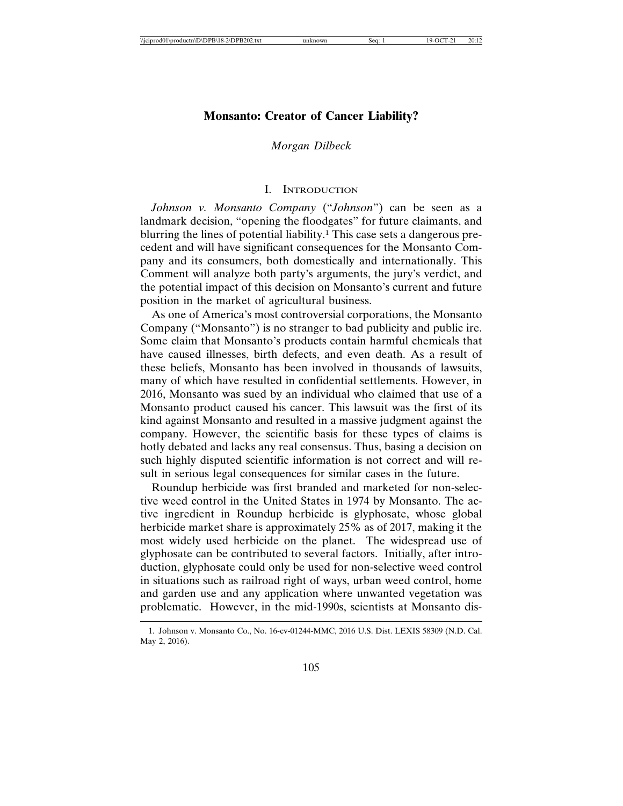# **Monsanto: Creator of Cancer Liability?**

# *Morgan Dilbeck*

#### I. INTRODUCTION

*Johnson v. Monsanto Company* ("*Johnson*") can be seen as a landmark decision, "opening the floodgates" for future claimants, and blurring the lines of potential liability.<sup>1</sup> This case sets a dangerous precedent and will have significant consequences for the Monsanto Company and its consumers, both domestically and internationally. This Comment will analyze both party's arguments, the jury's verdict, and the potential impact of this decision on Monsanto's current and future position in the market of agricultural business.

As one of America's most controversial corporations, the Monsanto Company ("Monsanto") is no stranger to bad publicity and public ire. Some claim that Monsanto's products contain harmful chemicals that have caused illnesses, birth defects, and even death. As a result of these beliefs, Monsanto has been involved in thousands of lawsuits, many of which have resulted in confidential settlements. However, in 2016, Monsanto was sued by an individual who claimed that use of a Monsanto product caused his cancer. This lawsuit was the first of its kind against Monsanto and resulted in a massive judgment against the company. However, the scientific basis for these types of claims is hotly debated and lacks any real consensus. Thus, basing a decision on such highly disputed scientific information is not correct and will result in serious legal consequences for similar cases in the future.

Roundup herbicide was first branded and marketed for non-selective weed control in the United States in 1974 by Monsanto. The active ingredient in Roundup herbicide is glyphosate, whose global herbicide market share is approximately 25% as of 2017, making it the most widely used herbicide on the planet. The widespread use of glyphosate can be contributed to several factors. Initially, after introduction, glyphosate could only be used for non-selective weed control in situations such as railroad right of ways, urban weed control, home and garden use and any application where unwanted vegetation was problematic. However, in the mid-1990s, scientists at Monsanto dis-

<sup>1.</sup> Johnson v. Monsanto Co., No. 16-cv-01244-MMC, 2016 U.S. Dist. LEXIS 58309 (N.D. Cal. May 2, 2016).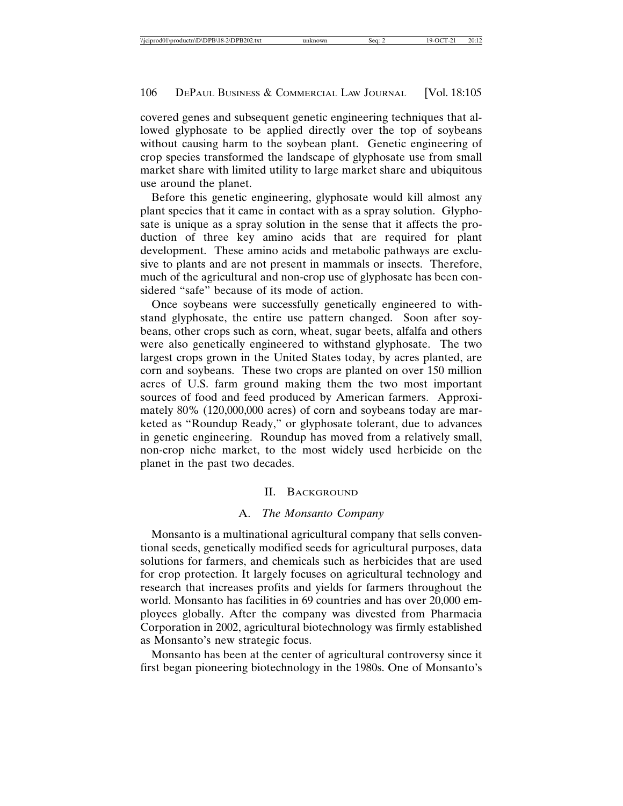covered genes and subsequent genetic engineering techniques that allowed glyphosate to be applied directly over the top of soybeans without causing harm to the soybean plant. Genetic engineering of crop species transformed the landscape of glyphosate use from small market share with limited utility to large market share and ubiquitous use around the planet.

Before this genetic engineering, glyphosate would kill almost any plant species that it came in contact with as a spray solution. Glyphosate is unique as a spray solution in the sense that it affects the production of three key amino acids that are required for plant development. These amino acids and metabolic pathways are exclusive to plants and are not present in mammals or insects. Therefore, much of the agricultural and non-crop use of glyphosate has been considered "safe" because of its mode of action.

Once soybeans were successfully genetically engineered to withstand glyphosate, the entire use pattern changed. Soon after soybeans, other crops such as corn, wheat, sugar beets, alfalfa and others were also genetically engineered to withstand glyphosate. The two largest crops grown in the United States today, by acres planted, are corn and soybeans. These two crops are planted on over 150 million acres of U.S. farm ground making them the two most important sources of food and feed produced by American farmers. Approximately 80% (120,000,000 acres) of corn and soybeans today are marketed as "Roundup Ready," or glyphosate tolerant, due to advances in genetic engineering. Roundup has moved from a relatively small, non-crop niche market, to the most widely used herbicide on the planet in the past two decades.

#### II. BACKGROUND

#### A. *The Monsanto Company*

Monsanto is a multinational agricultural company that sells conventional seeds, genetically modified seeds for agricultural purposes, data solutions for farmers, and chemicals such as herbicides that are used for crop protection. It largely focuses on agricultural technology and research that increases profits and yields for farmers throughout the world. Monsanto has facilities in 69 countries and has over 20,000 employees globally. After the company was divested from Pharmacia Corporation in 2002, agricultural biotechnology was firmly established as Monsanto's new strategic focus.

Monsanto has been at the center of agricultural controversy since it first began pioneering biotechnology in the 1980s. One of Monsanto's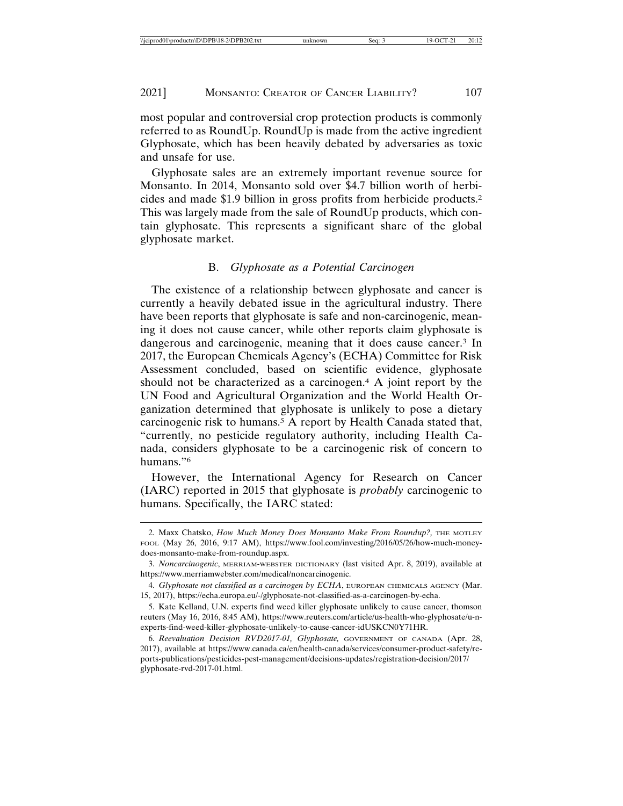most popular and controversial crop protection products is commonly referred to as RoundUp. RoundUp is made from the active ingredient Glyphosate, which has been heavily debated by adversaries as toxic and unsafe for use.

Glyphosate sales are an extremely important revenue source for Monsanto. In 2014, Monsanto sold over \$4.7 billion worth of herbicides and made \$1.9 billion in gross profits from herbicide products.2 This was largely made from the sale of RoundUp products, which contain glyphosate. This represents a significant share of the global glyphosate market.

#### B. *Glyphosate as a Potential Carcinogen*

The existence of a relationship between glyphosate and cancer is currently a heavily debated issue in the agricultural industry. There have been reports that glyphosate is safe and non-carcinogenic, meaning it does not cause cancer, while other reports claim glyphosate is dangerous and carcinogenic, meaning that it does cause cancer.3 In 2017, the European Chemicals Agency's (ECHA) Committee for Risk Assessment concluded, based on scientific evidence, glyphosate should not be characterized as a carcinogen.4 A joint report by the UN Food and Agricultural Organization and the World Health Organization determined that glyphosate is unlikely to pose a dietary carcinogenic risk to humans.5 A report by Health Canada stated that, "currently, no pesticide regulatory authority, including Health Canada, considers glyphosate to be a carcinogenic risk of concern to humans."6

However, the International Agency for Research on Cancer (IARC) reported in 2015 that glyphosate is *probably* carcinogenic to humans. Specifically, the IARC stated:

<sup>2.</sup> Maxx Chatsko, *How Much Money Does Monsanto Make From Roundup?*, THE MOTLEY FOOL (May 26, 2016, 9:17 AM), https://www.fool.com/investing/2016/05/26/how-much-moneydoes-monsanto-make-from-roundup.aspx.

<sup>3.</sup> *Noncarcinogenic*, MERRIAM-WEBSTER DICTIONARY (last visited Apr. 8, 2019), available at https://www.merriamwebster.com/medical/noncarcinogenic.

<sup>4.</sup> *Glyphosate not classified as a carcinogen by ECHA*, EUROPEAN CHEMICALS AGENCY (Mar. 15, 2017), https://echa.europa.eu/-/glyphosate-not-classified-as-a-carcinogen-by-echa.

<sup>5.</sup> Kate Kelland, U.N. experts find weed killer glyphosate unlikely to cause cancer, thomson reuters (May 16, 2016, 8:45 AM), https://www.reuters.com/article/us-health-who-glyphosate/u-nexperts-find-weed-killer-glyphosate-unlikely-to-cause-cancer-idUSKCN0Y71HR.

<sup>6.</sup> *Reevaluation Decision RVD2017-01, Glyphosate,* GOVERNMENT OF CANADA (Apr. 28, 2017), available at https://www.canada.ca/en/health-canada/services/consumer-product-safety/reports-publications/pesticides-pest-management/decisions-updates/registration-decision/2017/ glyphosate-rvd-2017-01.html.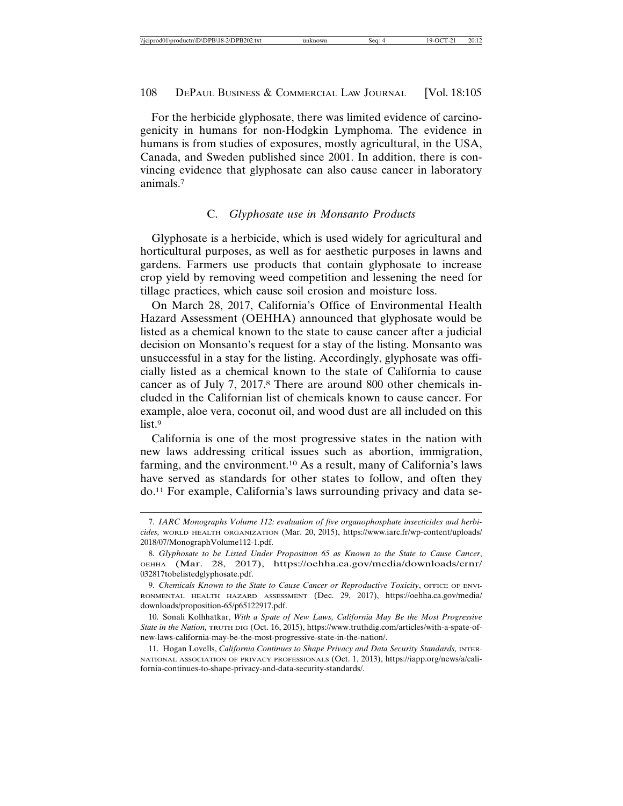For the herbicide glyphosate, there was limited evidence of carcinogenicity in humans for non-Hodgkin Lymphoma. The evidence in humans is from studies of exposures, mostly agricultural, in the USA, Canada, and Sweden published since 2001. In addition, there is convincing evidence that glyphosate can also cause cancer in laboratory animals.7

#### C. *Glyphosate use in Monsanto Products*

Glyphosate is a herbicide, which is used widely for agricultural and horticultural purposes, as well as for aesthetic purposes in lawns and gardens. Farmers use products that contain glyphosate to increase crop yield by removing weed competition and lessening the need for tillage practices, which cause soil erosion and moisture loss.

On March 28, 2017, California's Office of Environmental Health Hazard Assessment (OEHHA) announced that glyphosate would be listed as a chemical known to the state to cause cancer after a judicial decision on Monsanto's request for a stay of the listing. Monsanto was unsuccessful in a stay for the listing. Accordingly, glyphosate was officially listed as a chemical known to the state of California to cause cancer as of July 7, 2017.8 There are around 800 other chemicals included in the Californian list of chemicals known to cause cancer. For example, aloe vera, coconut oil, and wood dust are all included on this list.<sup>9</sup>

California is one of the most progressive states in the nation with new laws addressing critical issues such as abortion, immigration, farming, and the environment.10 As a result, many of California's laws have served as standards for other states to follow, and often they do.11 For example, California's laws surrounding privacy and data se-

<sup>7.</sup> *IARC Monographs Volume 112: evaluation of five organophosphate insecticides and herbicides,* WORLD HEALTH ORGANIZATION (Mar. 20, 2015), https://www.iarc.fr/wp-content/uploads/ 2018/07/MonographVolume112-1.pdf.

<sup>8.</sup> *Glyphosate to be Listed Under Proposition 65 as Known to the State to Cause Cancer*, OEHHA (Mar. 28, 2017), https://oehha.ca.gov/media/downloads/crnr/ 032817tobelistedglyphosate.pdf.

<sup>9.</sup> *Chemicals Known to the State to Cause Cancer or Reproductive Toxicity*, OFFICE OF ENVI-RONMENTAL HEALTH HAZARD ASSESSMENT (Dec. 29, 2017), https://oehha.ca.gov/media/ downloads/proposition-65/p65122917.pdf.

<sup>10.</sup> Sonali Kolhhatkar, *With a Spate of New Laws, California May Be the Most Progressive State in the Nation,* TRUTH DIG (Oct. 16, 2015), https://www.truthdig.com/articles/with-a-spate-ofnew-laws-california-may-be-the-most-progressive-state-in-the-nation/.

<sup>11.</sup> Hogan Lovells, *California Continues to Shape Privacy and Data Security Standards*, INTER-NATIONAL ASSOCIATION OF PRIVACY PROFESSIONALS (Oct. 1, 2013), https://iapp.org/news/a/california-continues-to-shape-privacy-and-data-security-standards/.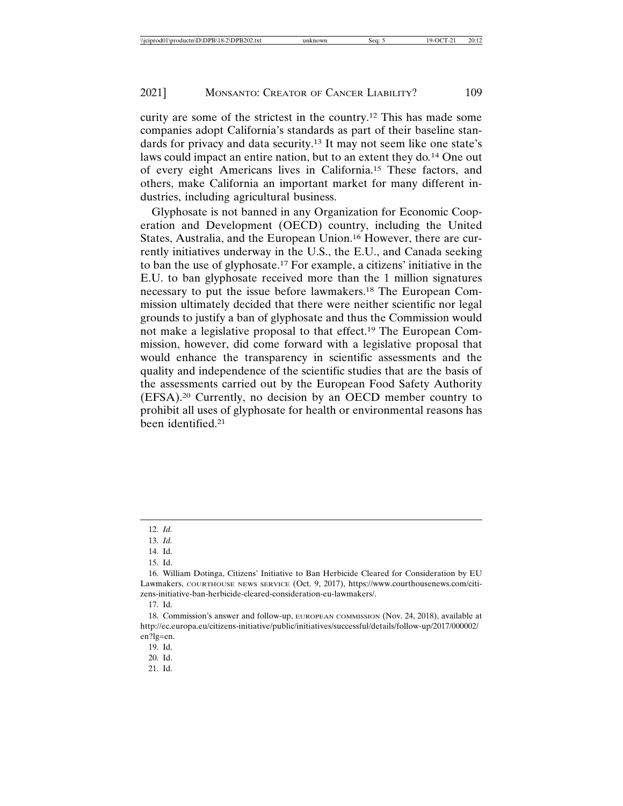curity are some of the strictest in the country.12 This has made some companies adopt California's standards as part of their baseline standards for privacy and data security.13 It may not seem like one state's laws could impact an entire nation, but to an extent they do*.* 14 One out of every eight Americans lives in California.15 These factors, and others, make California an important market for many different industries, including agricultural business.

Glyphosate is not banned in any Organization for Economic Cooperation and Development (OECD) country, including the United States, Australia, and the European Union.16 However, there are currently initiatives underway in the U.S., the E.U., and Canada seeking to ban the use of glyphosate.17 For example, a citizens' initiative in the E.U. to ban glyphosate received more than the 1 million signatures necessary to put the issue before lawmakers.18 The European Commission ultimately decided that there were neither scientific nor legal grounds to justify a ban of glyphosate and thus the Commission would not make a legislative proposal to that effect.19 The European Commission, however, did come forward with a legislative proposal that would enhance the transparency in scientific assessments and the quality and independence of the scientific studies that are the basis of the assessments carried out by the European Food Safety Authority (EFSA).20 Currently, no decision by an OECD member country to prohibit all uses of glyphosate for health or environmental reasons has been identified.21

<sup>12.</sup> *Id.*

<sup>13.</sup> *Id.*

<sup>14.</sup> Id.

<sup>15.</sup> Id.

<sup>16.</sup> William Dotinga, Citizens' Initiative to Ban Herbicide Cleared for Consideration by EU Lawmakers, COURTHOUSE NEWS SERVICE (Oct. 9, 2017), https://www.courthousenews.com/citizens-initiative-ban-herbicide-cleared-consideration-eu-lawmakers/.

<sup>17.</sup> Id.

<sup>18.</sup> Commission's answer and follow-up, EUROPEAN COMMISSION (Nov. 24, 2018), available at http://ec.europa.eu/citizens-initiative/public/initiatives/successful/details/follow-up/2017/000002/ en?lg=en.

<sup>19.</sup> Id.

<sup>20.</sup> Id.

<sup>21.</sup> Id.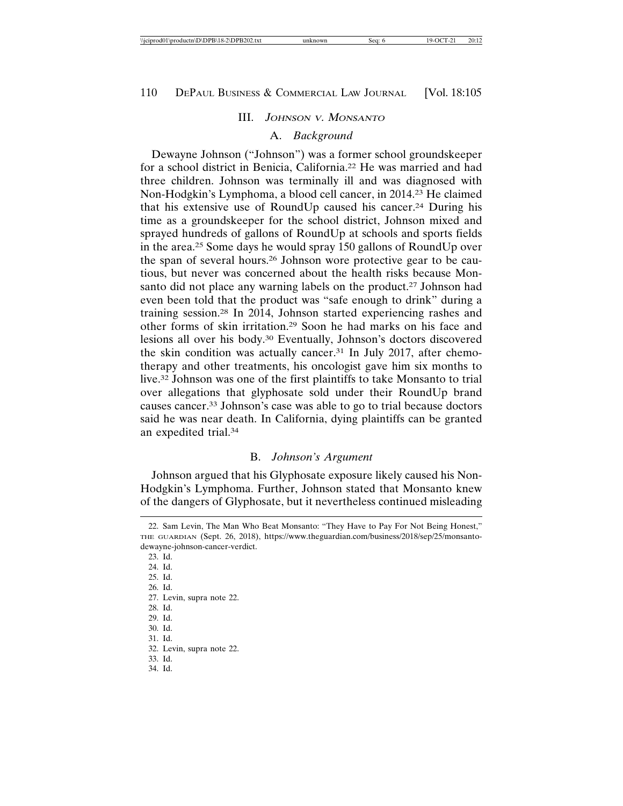#### III. JOHNSON <sup>V</sup>. MONSANTO

#### A. *Background*

Dewayne Johnson ("Johnson") was a former school groundskeeper for a school district in Benicia, California.22 He was married and had three children. Johnson was terminally ill and was diagnosed with Non-Hodgkin's Lymphoma, a blood cell cancer, in 2014.23 He claimed that his extensive use of RoundUp caused his cancer.24 During his time as a groundskeeper for the school district, Johnson mixed and sprayed hundreds of gallons of RoundUp at schools and sports fields in the area.25 Some days he would spray 150 gallons of RoundUp over the span of several hours.26 Johnson wore protective gear to be cautious, but never was concerned about the health risks because Monsanto did not place any warning labels on the product.<sup>27</sup> Johnson had even been told that the product was "safe enough to drink" during a training session.28 In 2014, Johnson started experiencing rashes and other forms of skin irritation.29 Soon he had marks on his face and lesions all over his body.30 Eventually, Johnson's doctors discovered the skin condition was actually cancer.31 In July 2017, after chemotherapy and other treatments, his oncologist gave him six months to live.32 Johnson was one of the first plaintiffs to take Monsanto to trial over allegations that glyphosate sold under their RoundUp brand causes cancer.33 Johnson's case was able to go to trial because doctors said he was near death. In California, dying plaintiffs can be granted an expedited trial.34

# B. *Johnson's Argument*

Johnson argued that his Glyphosate exposure likely caused his Non-Hodgkin's Lymphoma. Further, Johnson stated that Monsanto knew of the dangers of Glyphosate, but it nevertheless continued misleading

<sup>22.</sup> Sam Levin, The Man Who Beat Monsanto: "They Have to Pay For Not Being Honest," THE GUARDIAN (Sept. 26, 2018), https://www.theguardian.com/business/2018/sep/25/monsantodewayne-johnson-cancer-verdict.

<sup>23.</sup> Id.

<sup>24.</sup> Id.

<sup>25.</sup> Id.

<sup>26.</sup> Id.

<sup>27.</sup> Levin, supra note 22.

<sup>28.</sup> Id.

<sup>29.</sup> Id.

<sup>30.</sup> Id.

<sup>31.</sup> Id.

<sup>32.</sup> Levin, supra note 22.

<sup>33.</sup> Id.

<sup>34.</sup> Id.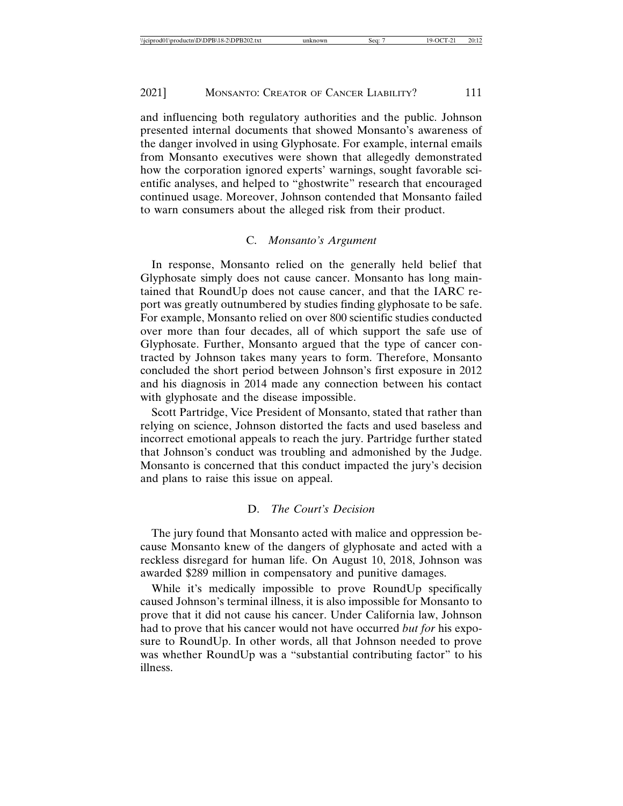and influencing both regulatory authorities and the public. Johnson presented internal documents that showed Monsanto's awareness of the danger involved in using Glyphosate. For example, internal emails from Monsanto executives were shown that allegedly demonstrated how the corporation ignored experts' warnings, sought favorable scientific analyses, and helped to "ghostwrite" research that encouraged continued usage. Moreover, Johnson contended that Monsanto failed to warn consumers about the alleged risk from their product.

## C. *Monsanto's Argument*

In response, Monsanto relied on the generally held belief that Glyphosate simply does not cause cancer. Monsanto has long maintained that RoundUp does not cause cancer, and that the IARC report was greatly outnumbered by studies finding glyphosate to be safe. For example, Monsanto relied on over 800 scientific studies conducted over more than four decades, all of which support the safe use of Glyphosate. Further, Monsanto argued that the type of cancer contracted by Johnson takes many years to form. Therefore, Monsanto concluded the short period between Johnson's first exposure in 2012 and his diagnosis in 2014 made any connection between his contact with glyphosate and the disease impossible.

Scott Partridge, Vice President of Monsanto, stated that rather than relying on science, Johnson distorted the facts and used baseless and incorrect emotional appeals to reach the jury. Partridge further stated that Johnson's conduct was troubling and admonished by the Judge. Monsanto is concerned that this conduct impacted the jury's decision and plans to raise this issue on appeal.

# D. *The Court's Decision*

The jury found that Monsanto acted with malice and oppression because Monsanto knew of the dangers of glyphosate and acted with a reckless disregard for human life. On August 10, 2018, Johnson was awarded \$289 million in compensatory and punitive damages.

While it's medically impossible to prove RoundUp specifically caused Johnson's terminal illness, it is also impossible for Monsanto to prove that it did not cause his cancer. Under California law, Johnson had to prove that his cancer would not have occurred *but for* his exposure to RoundUp. In other words, all that Johnson needed to prove was whether RoundUp was a "substantial contributing factor" to his illness.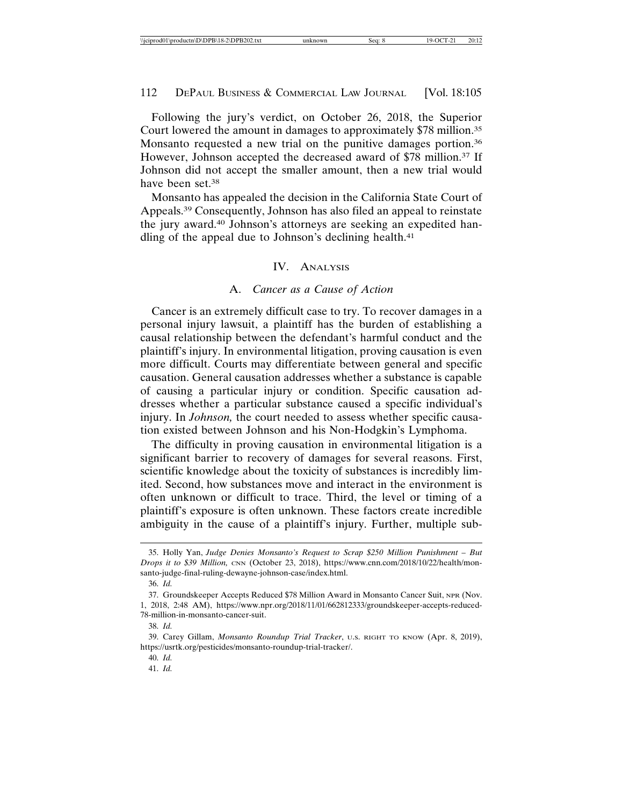Following the jury's verdict, on October 26, 2018, the Superior Court lowered the amount in damages to approximately \$78 million.35 Monsanto requested a new trial on the punitive damages portion.<sup>36</sup> However, Johnson accepted the decreased award of \$78 million.<sup>37</sup> If Johnson did not accept the smaller amount, then a new trial would have been set.38

Monsanto has appealed the decision in the California State Court of Appeals.39 Consequently, Johnson has also filed an appeal to reinstate the jury award.40 Johnson's attorneys are seeking an expedited handling of the appeal due to Johnson's declining health.<sup>41</sup>

#### IV. ANALYSIS

#### A. *Cancer as a Cause of Action*

Cancer is an extremely difficult case to try. To recover damages in a personal injury lawsuit, a plaintiff has the burden of establishing a causal relationship between the defendant's harmful conduct and the plaintiff's injury. In environmental litigation, proving causation is even more difficult. Courts may differentiate between general and specific causation. General causation addresses whether a substance is capable of causing a particular injury or condition. Specific causation addresses whether a particular substance caused a specific individual's injury. In *Johnson,* the court needed to assess whether specific causation existed between Johnson and his Non-Hodgkin's Lymphoma.

The difficulty in proving causation in environmental litigation is a significant barrier to recovery of damages for several reasons. First, scientific knowledge about the toxicity of substances is incredibly limited. Second, how substances move and interact in the environment is often unknown or difficult to trace. Third, the level or timing of a plaintiff's exposure is often unknown. These factors create incredible ambiguity in the cause of a plaintiff's injury. Further, multiple sub-

<sup>35.</sup> Holly Yan, *Judge Denies Monsanto's Request to Scrap \$250 Million Punishment – But Drops it to \$39 Million,* CNN (October 23, 2018), https://www.cnn.com/2018/10/22/health/monsanto-judge-final-ruling-dewayne-johnson-case/index.html.

<sup>36.</sup> *Id.*

<sup>37.</sup> Groundskeeper Accepts Reduced \$78 Million Award in Monsanto Cancer Suit, NPR (Nov. 1, 2018, 2:48 AM), https://www.npr.org/2018/11/01/662812333/groundskeeper-accepts-reduced-78-million-in-monsanto-cancer-suit.

<sup>38.</sup> *Id.*

<sup>39.</sup> Carey Gillam, *Monsanto Roundup Trial Tracker*, U.S. RIGHT TO KNOW (Apr. 8, 2019), https://usrtk.org/pesticides/monsanto-roundup-trial-tracker/.

<sup>40.</sup> *Id.*

<sup>41.</sup> *Id.*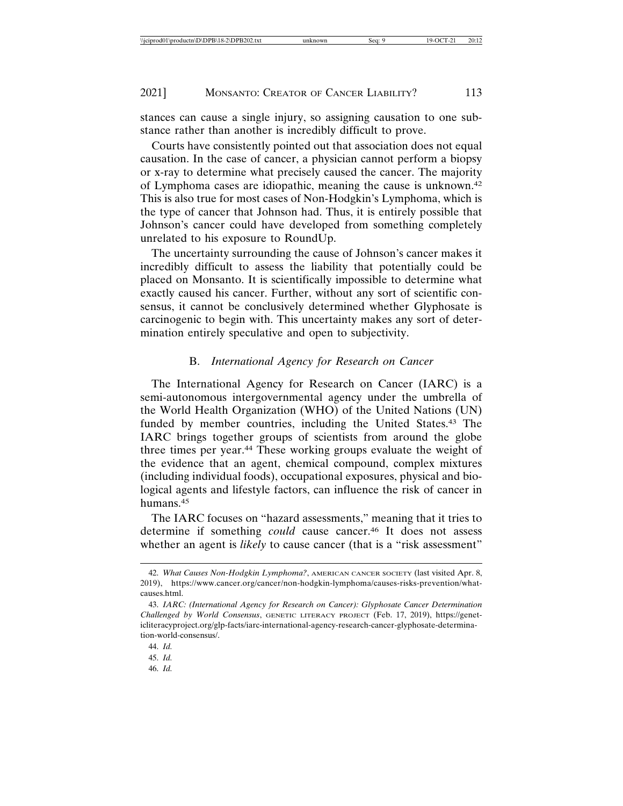stances can cause a single injury, so assigning causation to one substance rather than another is incredibly difficult to prove.

Courts have consistently pointed out that association does not equal causation. In the case of cancer, a physician cannot perform a biopsy or x-ray to determine what precisely caused the cancer. The majority of Lymphoma cases are idiopathic, meaning the cause is unknown.42 This is also true for most cases of Non-Hodgkin's Lymphoma, which is the type of cancer that Johnson had. Thus, it is entirely possible that Johnson's cancer could have developed from something completely unrelated to his exposure to RoundUp.

The uncertainty surrounding the cause of Johnson's cancer makes it incredibly difficult to assess the liability that potentially could be placed on Monsanto. It is scientifically impossible to determine what exactly caused his cancer. Further, without any sort of scientific consensus, it cannot be conclusively determined whether Glyphosate is carcinogenic to begin with. This uncertainty makes any sort of determination entirely speculative and open to subjectivity.

# B. *International Agency for Research on Cancer*

The International Agency for Research on Cancer (IARC) is a semi-autonomous intergovernmental agency under the umbrella of the World Health Organization (WHO) of the United Nations (UN) funded by member countries, including the United States.43 The IARC brings together groups of scientists from around the globe three times per year.<sup>44</sup> These working groups evaluate the weight of the evidence that an agent, chemical compound, complex mixtures (including individual foods), occupational exposures, physical and biological agents and lifestyle factors, can influence the risk of cancer in humans.45

The IARC focuses on "hazard assessments," meaning that it tries to determine if something *could* cause cancer.46 It does not assess whether an agent is *likely* to cause cancer (that is a "risk assessment"

<sup>42.</sup> *What Causes Non-Hodgkin Lymphoma?*, AMERICAN CANCER SOCIETY (last visited Apr. 8, 2019), https://www.cancer.org/cancer/non-hodgkin-lymphoma/causes-risks-prevention/whatcauses.html.

<sup>43.</sup> *IARC: (International Agency for Research on Cancer): Glyphosate Cancer Determination Challenged by World Consensus*, GENETIC LITERACY PROJECT (Feb. 17, 2019), https://geneticliteracyproject.org/glp-facts/iarc-international-agency-research-cancer-glyphosate-determination-world-consensus/.

<sup>44.</sup> *Id.*

<sup>45.</sup> *Id.*

<sup>46.</sup> *Id.*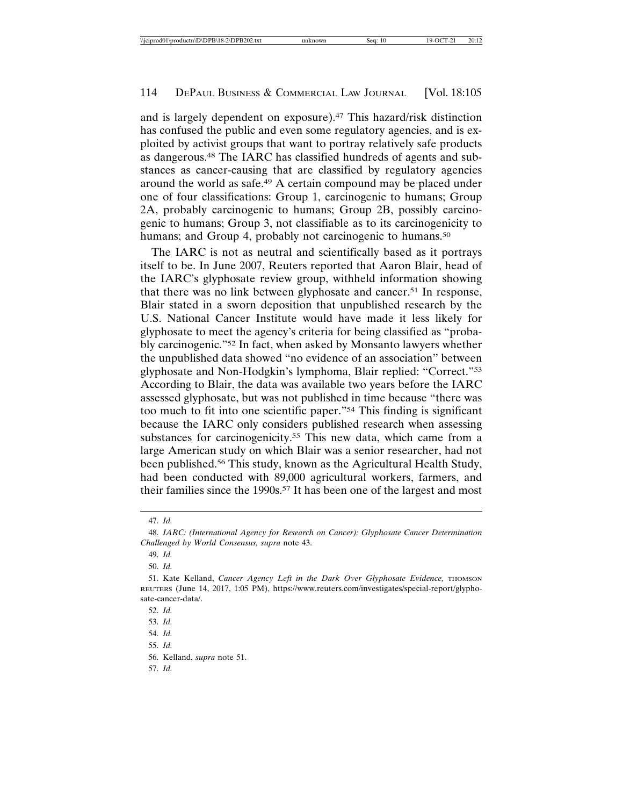and is largely dependent on exposure).47 This hazard/risk distinction has confused the public and even some regulatory agencies, and is exploited by activist groups that want to portray relatively safe products as dangerous.48 The IARC has classified hundreds of agents and substances as cancer-causing that are classified by regulatory agencies around the world as safe.49 A certain compound may be placed under one of four classifications: Group 1, carcinogenic to humans; Group 2A, probably carcinogenic to humans; Group 2B, possibly carcinogenic to humans; Group 3, not classifiable as to its carcinogenicity to humans; and Group 4, probably not carcinogenic to humans.<sup>50</sup>

The IARC is not as neutral and scientifically based as it portrays itself to be. In June 2007, Reuters reported that Aaron Blair, head of the IARC's glyphosate review group, withheld information showing that there was no link between glyphosate and cancer.51 In response, Blair stated in a sworn deposition that unpublished research by the U.S. National Cancer Institute would have made it less likely for glyphosate to meet the agency's criteria for being classified as "probably carcinogenic."52 In fact, when asked by Monsanto lawyers whether the unpublished data showed "no evidence of an association" between glyphosate and Non-Hodgkin's lymphoma, Blair replied: "Correct."53 According to Blair, the data was available two years before the IARC assessed glyphosate, but was not published in time because "there was too much to fit into one scientific paper."54 This finding is significant because the IARC only considers published research when assessing substances for carcinogenicity.<sup>55</sup> This new data, which came from a large American study on which Blair was a senior researcher, had not been published.56 This study, known as the Agricultural Health Study, had been conducted with 89,000 agricultural workers, farmers, and their families since the 1990s.57 It has been one of the largest and most

<sup>47.</sup> *Id.*

<sup>48.</sup> *IARC: (International Agency for Research on Cancer): Glyphosate Cancer Determination Challenged by World Consensus, supra* note 43.

<sup>49.</sup> *Id.*

<sup>50.</sup> *Id.*

<sup>51.</sup> Kate Kelland, *Cancer Agency Left in the Dark Over Glyphosate Evidence,* THOMSON REUTERS (June 14, 2017, 1:05 PM), https://www.reuters.com/investigates/special-report/glyphosate-cancer-data/.

<sup>52.</sup> *Id.*

<sup>53.</sup> *Id.*

<sup>54.</sup> *Id.*

<sup>55.</sup> *Id.*

<sup>56.</sup> Kelland, *supra* note 51.

<sup>57.</sup> *Id.*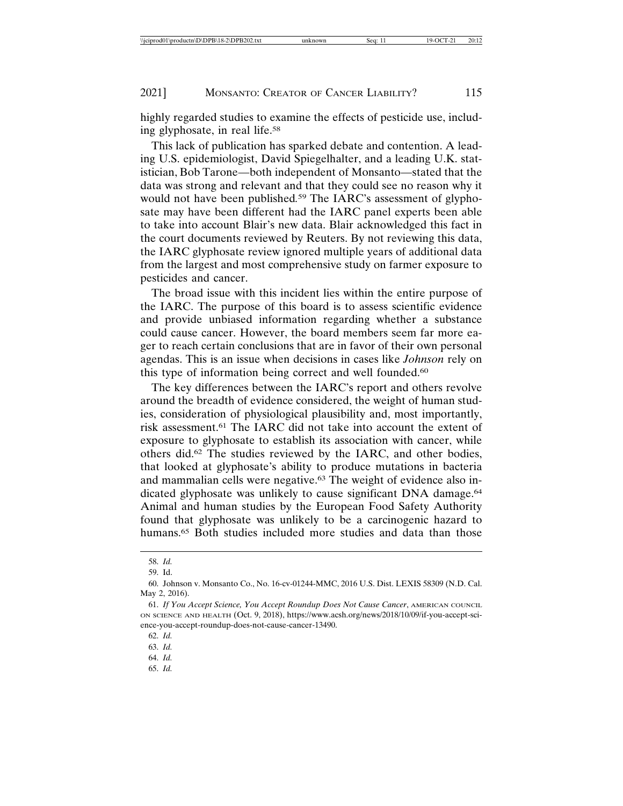highly regarded studies to examine the effects of pesticide use, including glyphosate, in real life.58

This lack of publication has sparked debate and contention. A leading U.S. epidemiologist, David Spiegelhalter, and a leading U.K. statistician, Bob Tarone—both independent of Monsanto—stated that the data was strong and relevant and that they could see no reason why it would not have been published*.* 59 The IARC's assessment of glyphosate may have been different had the IARC panel experts been able to take into account Blair's new data. Blair acknowledged this fact in the court documents reviewed by Reuters. By not reviewing this data, the IARC glyphosate review ignored multiple years of additional data from the largest and most comprehensive study on farmer exposure to pesticides and cancer.

The broad issue with this incident lies within the entire purpose of the IARC. The purpose of this board is to assess scientific evidence and provide unbiased information regarding whether a substance could cause cancer. However, the board members seem far more eager to reach certain conclusions that are in favor of their own personal agendas. This is an issue when decisions in cases like *Johnson* rely on this type of information being correct and well founded.60

The key differences between the IARC's report and others revolve around the breadth of evidence considered, the weight of human studies, consideration of physiological plausibility and, most importantly, risk assessment.61 The IARC did not take into account the extent of exposure to glyphosate to establish its association with cancer, while others did.62 The studies reviewed by the IARC, and other bodies, that looked at glyphosate's ability to produce mutations in bacteria and mammalian cells were negative.<sup>63</sup> The weight of evidence also indicated glyphosate was unlikely to cause significant DNA damage.<sup>64</sup> Animal and human studies by the European Food Safety Authority found that glyphosate was unlikely to be a carcinogenic hazard to humans.<sup>65</sup> Both studies included more studies and data than those

<sup>58.</sup> *Id.*

<sup>59.</sup> Id.

<sup>60.</sup> Johnson v. Monsanto Co., No. 16-cv-01244-MMC, 2016 U.S. Dist. LEXIS 58309 (N.D. Cal. May 2, 2016).

<sup>61.</sup> *If You Accept Science, You Accept Roundup Does Not Cause Cancer*, AMERICAN COUNCIL ON SCIENCE AND HEALTH (Oct. 9, 2018), https://www.acsh.org/news/2018/10/09/if-you-accept-science-you-accept-roundup-does-not-cause-cancer-13490.

<sup>62.</sup> *Id.*

<sup>63.</sup> *Id.*

<sup>64.</sup> *Id.*

<sup>65.</sup> *Id.*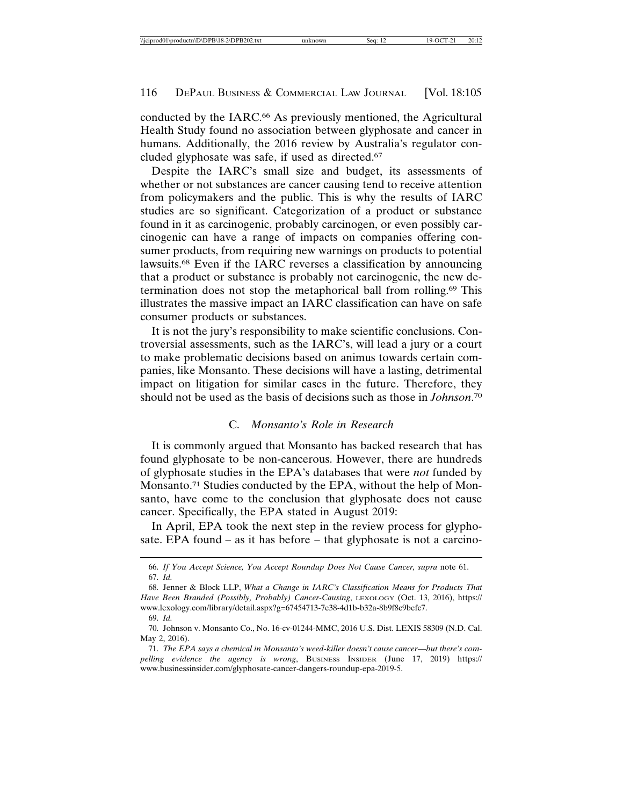conducted by the IARC.66 As previously mentioned, the Agricultural Health Study found no association between glyphosate and cancer in humans. Additionally, the 2016 review by Australia's regulator concluded glyphosate was safe, if used as directed.67

Despite the IARC's small size and budget, its assessments of whether or not substances are cancer causing tend to receive attention from policymakers and the public. This is why the results of IARC studies are so significant. Categorization of a product or substance found in it as carcinogenic, probably carcinogen, or even possibly carcinogenic can have a range of impacts on companies offering consumer products, from requiring new warnings on products to potential lawsuits.68 Even if the IARC reverses a classification by announcing that a product or substance is probably not carcinogenic, the new determination does not stop the metaphorical ball from rolling.69 This illustrates the massive impact an IARC classification can have on safe consumer products or substances.

It is not the jury's responsibility to make scientific conclusions. Controversial assessments, such as the IARC's, will lead a jury or a court to make problematic decisions based on animus towards certain companies, like Monsanto. These decisions will have a lasting, detrimental impact on litigation for similar cases in the future. Therefore, they should not be used as the basis of decisions such as those in *Johnson*. 70

## C. *Monsanto's Role in Research*

It is commonly argued that Monsanto has backed research that has found glyphosate to be non-cancerous. However, there are hundreds of glyphosate studies in the EPA's databases that were *not* funded by Monsanto.71 Studies conducted by the EPA, without the help of Monsanto, have come to the conclusion that glyphosate does not cause cancer. Specifically, the EPA stated in August 2019:

In April, EPA took the next step in the review process for glyphosate. EPA found – as it has before – that glyphosate is not a carcino-

<sup>66.</sup> *If You Accept Science, You Accept Roundup Does Not Cause Cancer, supra* note 61. 67. *Id.*

<sup>68.</sup> Jenner & Block LLP, *What a Change in IARC's Classification Means for Products That Have Been Branded (Possibly, Probably) Cancer-Causing*, LEXOLOGY (Oct. 13, 2016), https:// www.lexology.com/library/detail.aspx?g=67454713-7e38-4d1b-b32a-8b9f8c9befc7.

<sup>69.</sup> *Id.*

<sup>70.</sup> Johnson v. Monsanto Co., No. 16-cv-01244-MMC, 2016 U.S. Dist. LEXIS 58309 (N.D. Cal. May 2, 2016).

<sup>71.</sup> *The EPA says a chemical in Monsanto's weed-killer doesn't cause cancer—but there's compelling evidence the agency is wrong*, BUSINESS INSIDER (June 17, 2019) https:// www.businessinsider.com/glyphosate-cancer-dangers-roundup-epa-2019-5.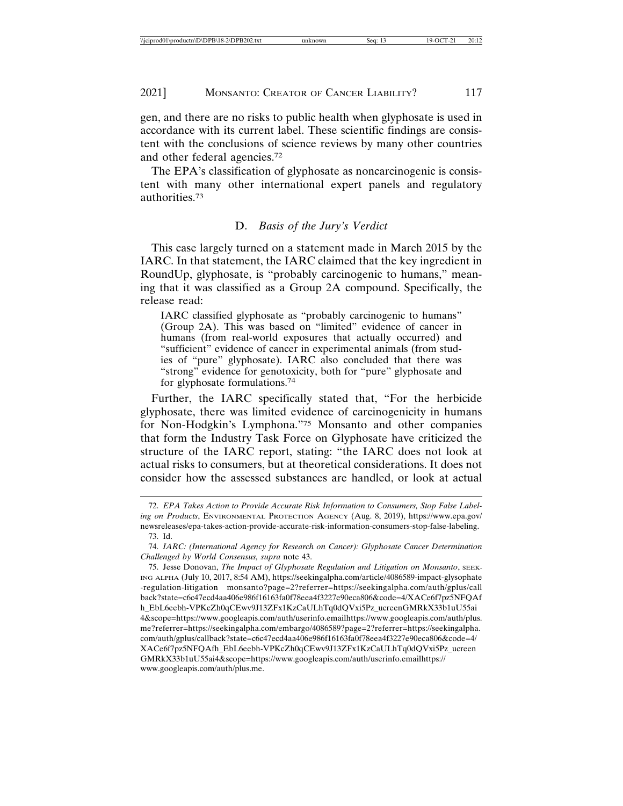gen, and there are no risks to public health when glyphosate is used in accordance with its current label. These scientific findings are consistent with the conclusions of science reviews by many other countries and other federal agencies.72

The EPA's classification of glyphosate as noncarcinogenic is consistent with many other international expert panels and regulatory authorities.73

# D. *Basis of the Jury's Verdict*

This case largely turned on a statement made in March 2015 by the IARC. In that statement, the IARC claimed that the key ingredient in RoundUp, glyphosate, is "probably carcinogenic to humans," meaning that it was classified as a Group 2A compound. Specifically, the release read:

IARC classified glyphosate as "probably carcinogenic to humans" (Group 2A). This was based on "limited" evidence of cancer in humans (from real-world exposures that actually occurred) and "sufficient" evidence of cancer in experimental animals (from studies of "pure" glyphosate). IARC also concluded that there was "strong" evidence for genotoxicity, both for "pure" glyphosate and for glyphosate formulations.74

Further, the IARC specifically stated that, "For the herbicide glyphosate, there was limited evidence of carcinogenicity in humans for Non-Hodgkin's Lymphona."75 Monsanto and other companies that form the Industry Task Force on Glyphosate have criticized the structure of the IARC report, stating: "the IARC does not look at actual risks to consumers, but at theoretical considerations. It does not consider how the assessed substances are handled, or look at actual

<sup>72.</sup> *EPA Takes Action to Provide Accurate Risk Information to Consumers, Stop False Labeling on Products*, ENVIRONMENTAL PROTECTION AGENCY (Aug. 8, 2019), https://www.epa.gov/ newsreleases/epa-takes-action-provide-accurate-risk-information-consumers-stop-false-labeling. 73. Id.

<sup>74.</sup> *IARC: (International Agency for Research on Cancer): Glyphosate Cancer Determination Challenged by World Consensus, supra* note 43.

<sup>75.</sup> Jesse Donovan, *The Impact of Glyphosate Regulation and Litigation on Monsanto*, SEEK-ING ALPHA (July 10, 2017, 8:54 AM), https://seekingalpha.com/article/4086589-impact-glysophate -regulation-litigation monsanto?page=2?referrer=https://seekingalpha.com/auth/gplus/call back?state=c6c47ecd4aa406e986f16163fa0f78eea4f3227e90eca806&code=4/XACe6f7pz5NFQAf h\_EbL6eebh-VPKcZh0qCEwv9J13ZFx1KzCaULhTq0dQVxi5Pz\_ucreenGMRkX33b1uU55ai 4&scope=https://www.googleapis.com/auth/userinfo.emailhttps://www.googleapis.com/auth/plus. me?referrer=https://seekingalpha.com/embargo/4086589?page=2?referrer=https://seekingalpha. com/auth/gplus/callback?state=c6c47ecd4aa406e986f16163fa0f78eea4f3227e90eca806&code=4/ XACe6f7pz5NFQAfh\_EbL6eebh-VPKcZh0qCEwv9J13ZFx1KzCaULhTq0dQVxi5Pz\_ucreen GMRkX33b1uU55ai4&scope=https://www.googleapis.com/auth/userinfo.emailhttps:// www.googleapis.com/auth/plus.me.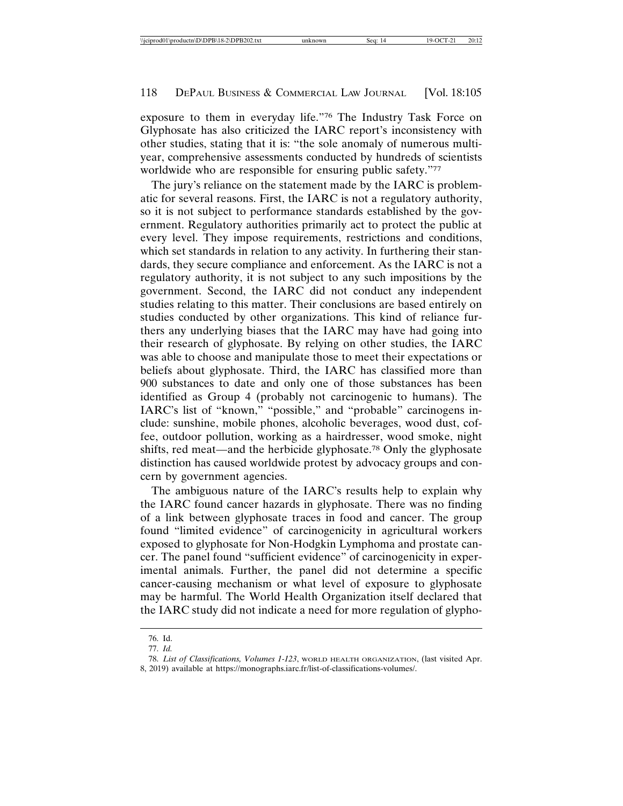exposure to them in everyday life."76 The Industry Task Force on Glyphosate has also criticized the IARC report's inconsistency with other studies, stating that it is: "the sole anomaly of numerous multiyear, comprehensive assessments conducted by hundreds of scientists worldwide who are responsible for ensuring public safety."77

The jury's reliance on the statement made by the IARC is problematic for several reasons. First, the IARC is not a regulatory authority, so it is not subject to performance standards established by the government. Regulatory authorities primarily act to protect the public at every level. They impose requirements, restrictions and conditions, which set standards in relation to any activity. In furthering their standards, they secure compliance and enforcement. As the IARC is not a regulatory authority, it is not subject to any such impositions by the government. Second, the IARC did not conduct any independent studies relating to this matter. Their conclusions are based entirely on studies conducted by other organizations. This kind of reliance furthers any underlying biases that the IARC may have had going into their research of glyphosate. By relying on other studies, the IARC was able to choose and manipulate those to meet their expectations or beliefs about glyphosate. Third, the IARC has classified more than 900 substances to date and only one of those substances has been identified as Group 4 (probably not carcinogenic to humans). The IARC's list of "known," "possible," and "probable" carcinogens include: sunshine, mobile phones, alcoholic beverages, wood dust, coffee, outdoor pollution, working as a hairdresser, wood smoke, night shifts, red meat—and the herbicide glyphosate.78 Only the glyphosate distinction has caused worldwide protest by advocacy groups and concern by government agencies.

The ambiguous nature of the IARC's results help to explain why the IARC found cancer hazards in glyphosate. There was no finding of a link between glyphosate traces in food and cancer. The group found "limited evidence" of carcinogenicity in agricultural workers exposed to glyphosate for Non-Hodgkin Lymphoma and prostate cancer. The panel found "sufficient evidence" of carcinogenicity in experimental animals. Further, the panel did not determine a specific cancer-causing mechanism or what level of exposure to glyphosate may be harmful. The World Health Organization itself declared that the IARC study did not indicate a need for more regulation of glypho-

<sup>76.</sup> Id.

<sup>77.</sup> *Id.*

<sup>78.</sup> *List of Classifications, Volumes 1-123*, WORLD HEALTH ORGANIZATION, (last visited Apr. 8, 2019) available at https://monographs.iarc.fr/list-of-classifications-volumes/.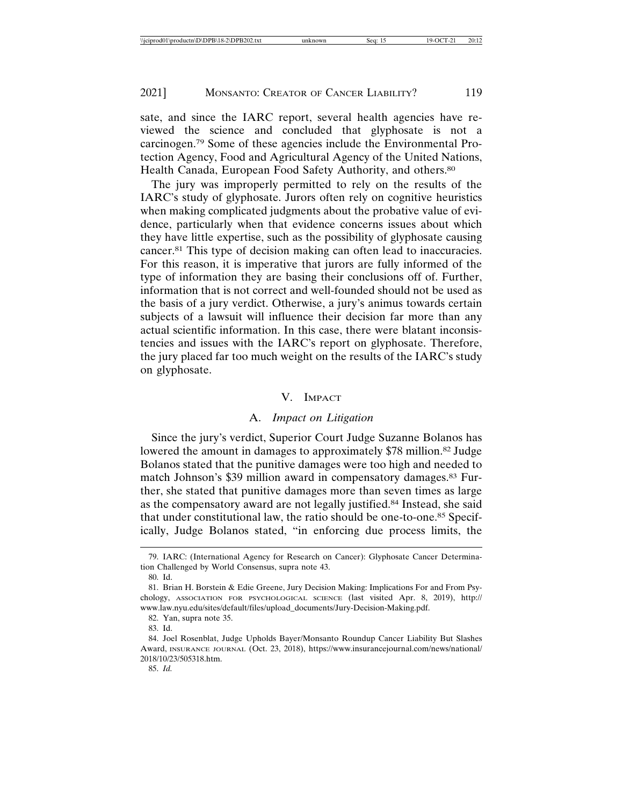sate, and since the IARC report, several health agencies have reviewed the science and concluded that glyphosate is not a carcinogen.79 Some of these agencies include the Environmental Protection Agency, Food and Agricultural Agency of the United Nations, Health Canada, European Food Safety Authority, and others.<sup>80</sup>

The jury was improperly permitted to rely on the results of the IARC's study of glyphosate. Jurors often rely on cognitive heuristics when making complicated judgments about the probative value of evidence, particularly when that evidence concerns issues about which they have little expertise, such as the possibility of glyphosate causing cancer.81 This type of decision making can often lead to inaccuracies. For this reason, it is imperative that jurors are fully informed of the type of information they are basing their conclusions off of. Further, information that is not correct and well-founded should not be used as the basis of a jury verdict. Otherwise, a jury's animus towards certain subjects of a lawsuit will influence their decision far more than any actual scientific information. In this case, there were blatant inconsistencies and issues with the IARC's report on glyphosate. Therefore, the jury placed far too much weight on the results of the IARC's study on glyphosate.

# V. IMPACT

# A. *Impact on Litigation*

Since the jury's verdict, Superior Court Judge Suzanne Bolanos has lowered the amount in damages to approximately \$78 million.<sup>82</sup> Judge Bolanos stated that the punitive damages were too high and needed to match Johnson's \$39 million award in compensatory damages.83 Further, she stated that punitive damages more than seven times as large as the compensatory award are not legally justified.84 Instead, she said that under constitutional law, the ratio should be one-to-one.85 Specifically, Judge Bolanos stated, "in enforcing due process limits, the

<sup>79.</sup> IARC: (International Agency for Research on Cancer): Glyphosate Cancer Determination Challenged by World Consensus, supra note 43.

<sup>80.</sup> Id.

<sup>81.</sup> Brian H. Borstein & Edie Greene, Jury Decision Making: Implications For and From Psychology, ASSOCIATION FOR PSYCHOLOGICAL SCIENCE (last visited Apr. 8, 2019), http:// www.law.nyu.edu/sites/default/files/upload\_documents/Jury-Decision-Making.pdf.

<sup>82.</sup> Yan, supra note 35.

<sup>83.</sup> Id.

<sup>84.</sup> Joel Rosenblat, Judge Upholds Bayer/Monsanto Roundup Cancer Liability But Slashes Award, INSURANCE JOURNAL (Oct. 23, 2018), https://www.insurancejournal.com/news/national/ 2018/10/23/505318.htm.

<sup>85.</sup> *Id.*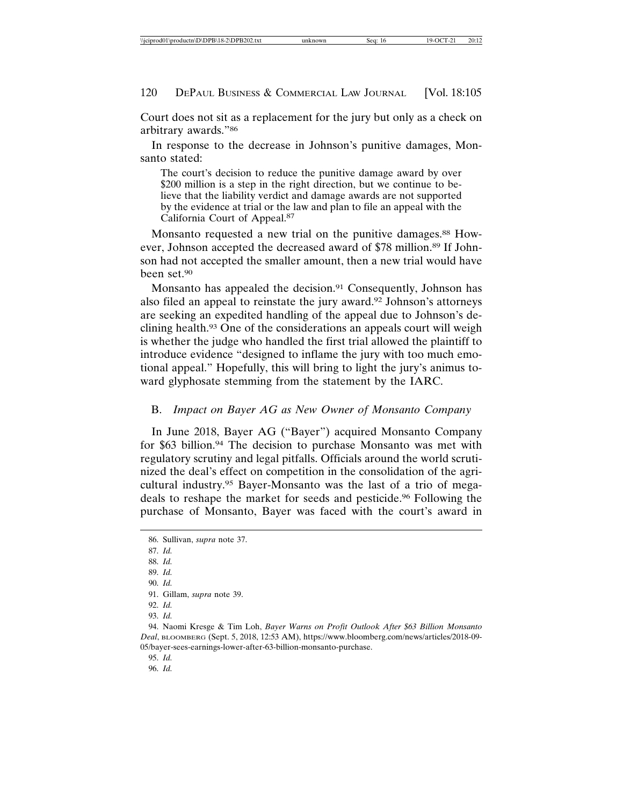Court does not sit as a replacement for the jury but only as a check on arbitrary awards."86

In response to the decrease in Johnson's punitive damages, Monsanto stated:

The court's decision to reduce the punitive damage award by over \$200 million is a step in the right direction, but we continue to believe that the liability verdict and damage awards are not supported by the evidence at trial or the law and plan to file an appeal with the California Court of Appeal.87

Monsanto requested a new trial on the punitive damages.<sup>88</sup> However, Johnson accepted the decreased award of \$78 million.<sup>89</sup> If Johnson had not accepted the smaller amount, then a new trial would have been set.90

Monsanto has appealed the decision.<sup>91</sup> Consequently, Johnson has also filed an appeal to reinstate the jury award.92 Johnson's attorneys are seeking an expedited handling of the appeal due to Johnson's declining health.93 One of the considerations an appeals court will weigh is whether the judge who handled the first trial allowed the plaintiff to introduce evidence "designed to inflame the jury with too much emotional appeal." Hopefully, this will bring to light the jury's animus toward glyphosate stemming from the statement by the IARC.

#### B. *Impact on Bayer AG as New Owner of Monsanto Company*

In June 2018, Bayer AG ("Bayer") acquired Monsanto Company for \$63 billion.94 The decision to purchase Monsanto was met with regulatory scrutiny and legal pitfalls. Officials around the world scrutinized the deal's effect on competition in the consolidation of the agricultural industry.95 Bayer-Monsanto was the last of a trio of megadeals to reshape the market for seeds and pesticide.96 Following the purchase of Monsanto, Bayer was faced with the court's award in

87. *Id.*

88. *Id.*

90. *Id.*

95. *Id.*

<sup>86.</sup> Sullivan, *supra* note 37.

<sup>89.</sup> *Id.*

<sup>91.</sup> Gillam, *supra* note 39.

<sup>92.</sup> *Id.*

<sup>93.</sup> *Id.*

<sup>94.</sup> Naomi Kresge & Tim Loh, *Bayer Warns on Profit Outlook After \$63 Billion Monsanto Deal*, BLOOMBERG (Sept. 5, 2018, 12:53 AM), https://www.bloomberg.com/news/articles/2018-09- 05/bayer-sees-earnings-lower-after-63-billion-monsanto-purchase.

<sup>96.</sup> *Id.*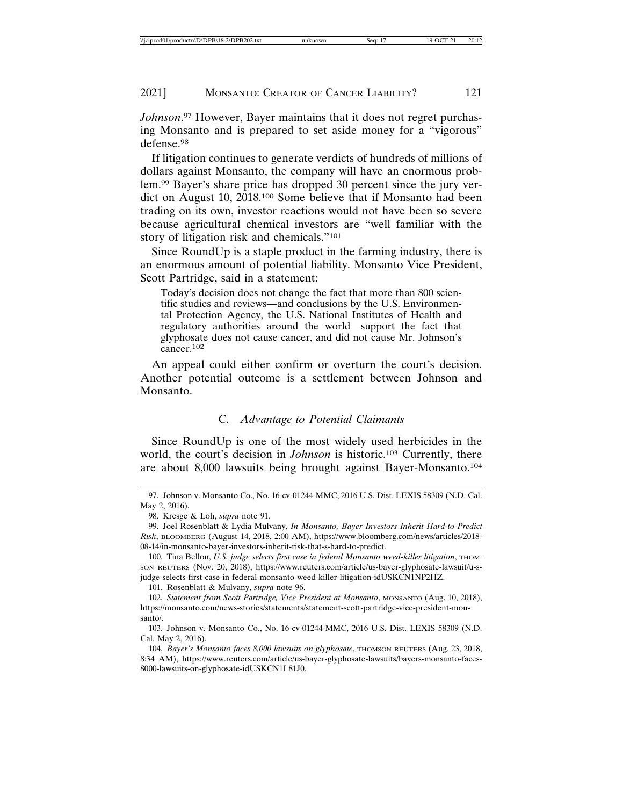*Johnson*. 97 However, Bayer maintains that it does not regret purchasing Monsanto and is prepared to set aside money for a "vigorous" defense.98

If litigation continues to generate verdicts of hundreds of millions of dollars against Monsanto, the company will have an enormous problem.99 Bayer's share price has dropped 30 percent since the jury verdict on August 10, 2018.100 Some believe that if Monsanto had been trading on its own, investor reactions would not have been so severe because agricultural chemical investors are "well familiar with the story of litigation risk and chemicals."101

Since RoundUp is a staple product in the farming industry, there is an enormous amount of potential liability. Monsanto Vice President, Scott Partridge, said in a statement:

Today's decision does not change the fact that more than 800 scientific studies and reviews—and conclusions by the U.S. Environmental Protection Agency, the U.S. National Institutes of Health and regulatory authorities around the world—support the fact that glyphosate does not cause cancer, and did not cause Mr. Johnson's cancer.<sup>102</sup>

An appeal could either confirm or overturn the court's decision. Another potential outcome is a settlement between Johnson and Monsanto.

# C. *Advantage to Potential Claimants*

Since RoundUp is one of the most widely used herbicides in the world, the court's decision in *Johnson* is historic.<sup>103</sup> Currently, there are about 8,000 lawsuits being brought against Bayer-Monsanto.104

101. Rosenblatt & Mulvany, *supra* note 96.

<sup>97.</sup> Johnson v. Monsanto Co., No. 16-cv-01244-MMC, 2016 U.S. Dist. LEXIS 58309 (N.D. Cal. May 2, 2016).

<sup>98.</sup> Kresge & Loh, *supra* note 91.

<sup>99.</sup> Joel Rosenblatt & Lydia Mulvany, *In Monsanto, Bayer Investors Inherit Hard-to-Predict Risk*, BLOOMBERG (August 14, 2018, 2:00 AM), https://www.bloomberg.com/news/articles/2018- 08-14/in-monsanto-bayer-investors-inherit-risk-that-s-hard-to-predict.

<sup>100.</sup> Tina Bellon, *U.S. judge selects first case in federal Monsanto weed-killer litigation*, THOM-SON REUTERS (Nov. 20, 2018), https://www.reuters.com/article/us-bayer-glyphosate-lawsuit/u-sjudge-selects-first-case-in-federal-monsanto-weed-killer-litigation-idUSKCN1NP2HZ.

<sup>102.</sup> *Statement from Scott Partridge, Vice President at Monsanto*, MONSANTO (Aug. 10, 2018), https://monsanto.com/news-stories/statements/statement-scott-partridge-vice-president-monsanto/.

<sup>103.</sup> Johnson v. Monsanto Co., No. 16-cv-01244-MMC, 2016 U.S. Dist. LEXIS 58309 (N.D. Cal. May 2, 2016).

<sup>104.</sup> *Bayer's Monsanto faces 8,000 lawsuits on glyphosate*, THOMSON REUTERS (Aug. 23, 2018, 8:34 AM), https://www.reuters.com/article/us-bayer-glyphosate-lawsuits/bayers-monsanto-faces-8000-lawsuits-on-glyphosate-idUSKCN1L81J0.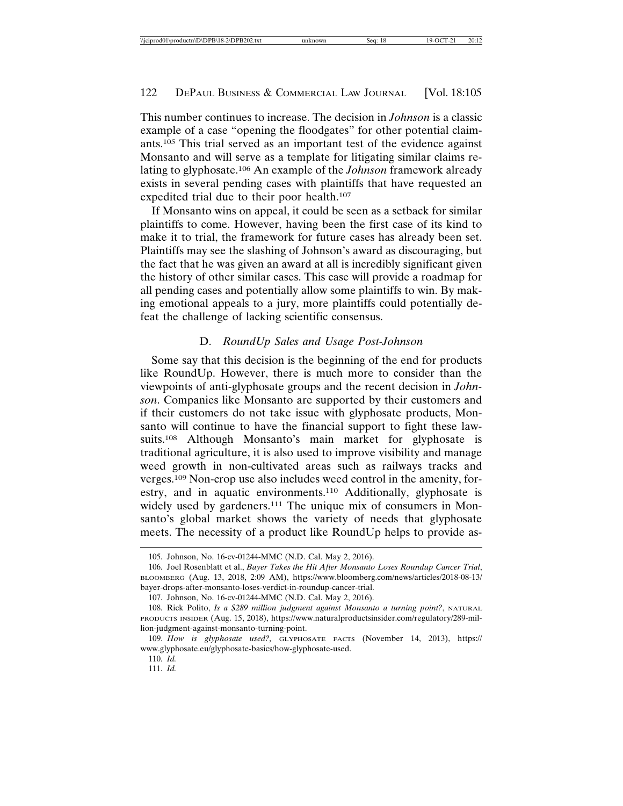This number continues to increase. The decision in *Johnson* is a classic example of a case "opening the floodgates" for other potential claimants.105 This trial served as an important test of the evidence against Monsanto and will serve as a template for litigating similar claims relating to glyphosate.106 An example of the *Johnson* framework already exists in several pending cases with plaintiffs that have requested an expedited trial due to their poor health.107

If Monsanto wins on appeal, it could be seen as a setback for similar plaintiffs to come. However, having been the first case of its kind to make it to trial, the framework for future cases has already been set. Plaintiffs may see the slashing of Johnson's award as discouraging, but the fact that he was given an award at all is incredibly significant given the history of other similar cases. This case will provide a roadmap for all pending cases and potentially allow some plaintiffs to win. By making emotional appeals to a jury, more plaintiffs could potentially defeat the challenge of lacking scientific consensus.

# D. *RoundUp Sales and Usage Post-Johnson*

Some say that this decision is the beginning of the end for products like RoundUp. However, there is much more to consider than the viewpoints of anti-glyphosate groups and the recent decision in *Johnson*. Companies like Monsanto are supported by their customers and if their customers do not take issue with glyphosate products, Monsanto will continue to have the financial support to fight these lawsuits.108 Although Monsanto's main market for glyphosate is traditional agriculture, it is also used to improve visibility and manage weed growth in non-cultivated areas such as railways tracks and verges.109 Non-crop use also includes weed control in the amenity, forestry, and in aquatic environments.110 Additionally, glyphosate is widely used by gardeners.<sup>111</sup> The unique mix of consumers in Monsanto's global market shows the variety of needs that glyphosate meets. The necessity of a product like RoundUp helps to provide as-

<sup>105.</sup> Johnson, No. 16-cv-01244-MMC (N.D. Cal. May 2, 2016).

<sup>106.</sup> Joel Rosenblatt et al., *Bayer Takes the Hit After Monsanto Loses Roundup Cancer Trial*, BLOOMBERG (Aug. 13, 2018, 2:09 AM), https://www.bloomberg.com/news/articles/2018-08-13/ bayer-drops-after-monsanto-loses-verdict-in-roundup-cancer-trial.

<sup>107.</sup> Johnson, No. 16-cv-01244-MMC (N.D. Cal. May 2, 2016).

<sup>108.</sup> Rick Polito, *Is a \$289 million judgment against Monsanto a turning point?*, NATURAL PRODUCTS INSIDER (Aug. 15, 2018), https://www.naturalproductsinsider.com/regulatory/289-million-judgment-against-monsanto-turning-point.

<sup>109.</sup> *How is glyphosate used?,* GLYPHOSATE FACTS (November 14, 2013), https:// www.glyphosate.eu/glyphosate-basics/how-glyphosate-used.

<sup>110.</sup> *Id.*

<sup>111.</sup> *Id.*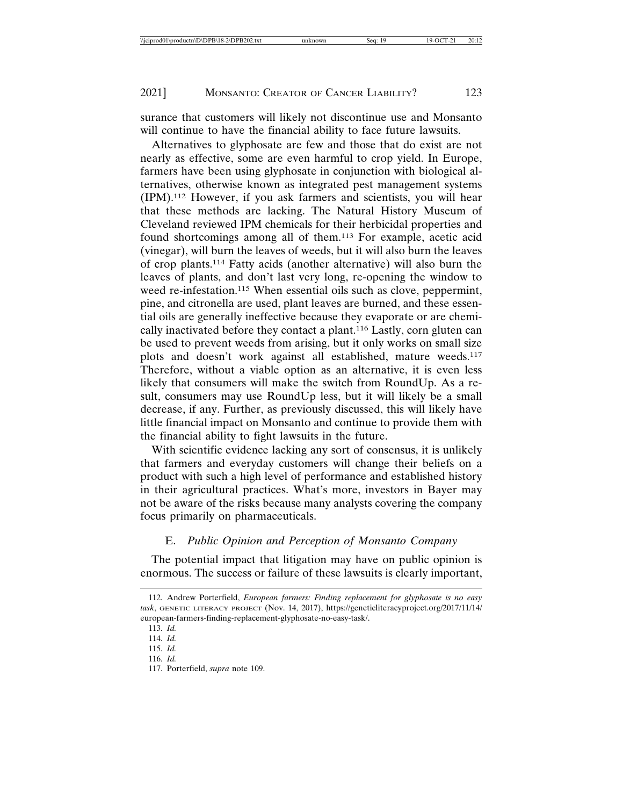surance that customers will likely not discontinue use and Monsanto will continue to have the financial ability to face future lawsuits.

Alternatives to glyphosate are few and those that do exist are not nearly as effective, some are even harmful to crop yield. In Europe, farmers have been using glyphosate in conjunction with biological alternatives, otherwise known as integrated pest management systems (IPM).112 However, if you ask farmers and scientists, you will hear that these methods are lacking. The Natural History Museum of Cleveland reviewed IPM chemicals for their herbicidal properties and found shortcomings among all of them.113 For example, acetic acid (vinegar), will burn the leaves of weeds, but it will also burn the leaves of crop plants.114 Fatty acids (another alternative) will also burn the leaves of plants, and don't last very long, re-opening the window to weed re-infestation.<sup>115</sup> When essential oils such as clove, peppermint, pine, and citronella are used, plant leaves are burned, and these essential oils are generally ineffective because they evaporate or are chemically inactivated before they contact a plant.116 Lastly, corn gluten can be used to prevent weeds from arising, but it only works on small size plots and doesn't work against all established, mature weeds.117 Therefore, without a viable option as an alternative, it is even less likely that consumers will make the switch from RoundUp. As a result, consumers may use RoundUp less, but it will likely be a small decrease, if any. Further, as previously discussed, this will likely have little financial impact on Monsanto and continue to provide them with the financial ability to fight lawsuits in the future.

With scientific evidence lacking any sort of consensus, it is unlikely that farmers and everyday customers will change their beliefs on a product with such a high level of performance and established history in their agricultural practices. What's more, investors in Bayer may not be aware of the risks because many analysts covering the company focus primarily on pharmaceuticals.

#### E. *Public Opinion and Perception of Monsanto Company*

The potential impact that litigation may have on public opinion is enormous. The success or failure of these lawsuits is clearly important,

<sup>112.</sup> Andrew Porterfield, *European farmers: Finding replacement for glyphosate is no easy task*, GENETIC LITERACY PROJECT (Nov. 14, 2017), https://geneticliteracyproject.org/2017/11/14/ european-farmers-finding-replacement-glyphosate-no-easy-task/.

<sup>113.</sup> *Id.*

<sup>114.</sup> *Id.*

<sup>115.</sup> *Id.*

<sup>116.</sup> *Id.*

<sup>117.</sup> Porterfield, *supra* note 109.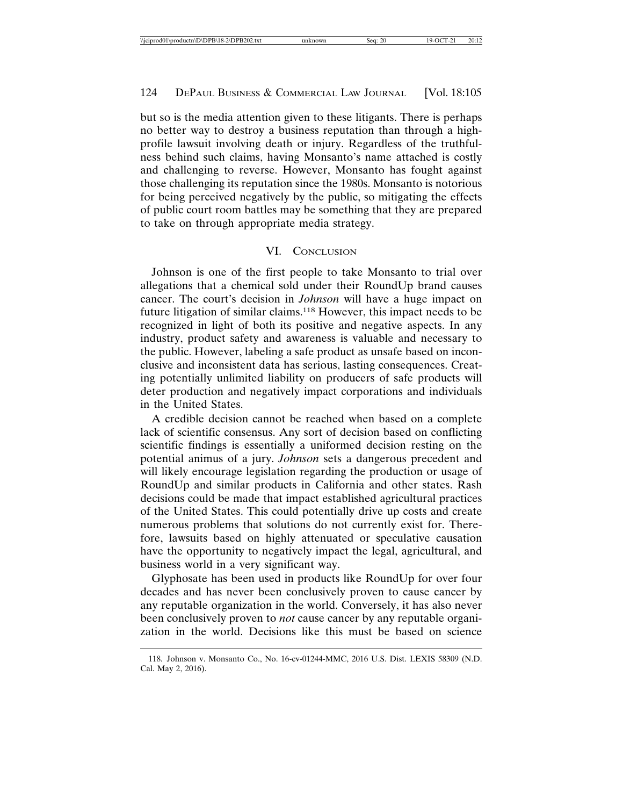but so is the media attention given to these litigants. There is perhaps no better way to destroy a business reputation than through a highprofile lawsuit involving death or injury. Regardless of the truthfulness behind such claims, having Monsanto's name attached is costly and challenging to reverse. However, Monsanto has fought against those challenging its reputation since the 1980s. Monsanto is notorious for being perceived negatively by the public, so mitigating the effects of public court room battles may be something that they are prepared to take on through appropriate media strategy.

# VI. CONCLUSION

Johnson is one of the first people to take Monsanto to trial over allegations that a chemical sold under their RoundUp brand causes cancer. The court's decision in *Johnson* will have a huge impact on future litigation of similar claims.118 However, this impact needs to be recognized in light of both its positive and negative aspects. In any industry, product safety and awareness is valuable and necessary to the public. However, labeling a safe product as unsafe based on inconclusive and inconsistent data has serious, lasting consequences. Creating potentially unlimited liability on producers of safe products will deter production and negatively impact corporations and individuals in the United States.

A credible decision cannot be reached when based on a complete lack of scientific consensus. Any sort of decision based on conflicting scientific findings is essentially a uniformed decision resting on the potential animus of a jury. *Johnson* sets a dangerous precedent and will likely encourage legislation regarding the production or usage of RoundUp and similar products in California and other states. Rash decisions could be made that impact established agricultural practices of the United States. This could potentially drive up costs and create numerous problems that solutions do not currently exist for. Therefore, lawsuits based on highly attenuated or speculative causation have the opportunity to negatively impact the legal, agricultural, and business world in a very significant way.

Glyphosate has been used in products like RoundUp for over four decades and has never been conclusively proven to cause cancer by any reputable organization in the world. Conversely, it has also never been conclusively proven to *not* cause cancer by any reputable organization in the world. Decisions like this must be based on science

<sup>118.</sup> Johnson v. Monsanto Co., No. 16-cv-01244-MMC, 2016 U.S. Dist. LEXIS 58309 (N.D. Cal. May 2, 2016).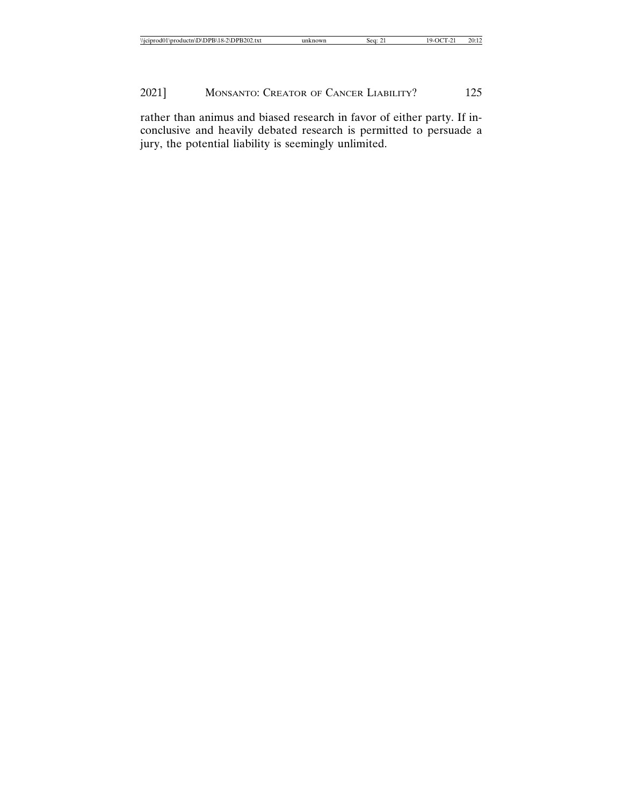| $\cdots$<br>$^{\circ}$ 2\DPB202.txt<br>20:12<br>-<br>roductn\D\DPB\18-2`<br>м<br>\\iciprod0.<br>Sea:<br>nown<br>∟ \DE |
|-----------------------------------------------------------------------------------------------------------------------|
|-----------------------------------------------------------------------------------------------------------------------|

rather than animus and biased research in favor of either party. If inconclusive and heavily debated research is permitted to persuade a jury, the potential liability is seemingly unlimited.